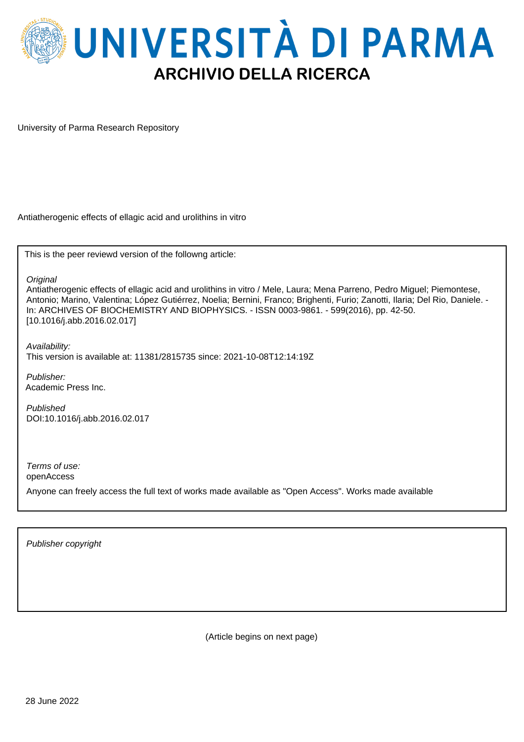

University of Parma Research Repository

Antiatherogenic effects of ellagic acid and urolithins in vitro

This is the peer reviewd version of the followng article:

**Original** 

Antiatherogenic effects of ellagic acid and urolithins in vitro / Mele, Laura; Mena Parreno, Pedro Miguel; Piemontese, Antonio; Marino, Valentina; López Gutiérrez, Noelia; Bernini, Franco; Brighenti, Furio; Zanotti, Ilaria; Del Rio, Daniele. - In: ARCHIVES OF BIOCHEMISTRY AND BIOPHYSICS. - ISSN 0003-9861. - 599(2016), pp. 42-50. [10.1016/j.abb.2016.02.017]

Availability: This version is available at: 11381/2815735 since: 2021-10-08T12:14:19Z

Publisher: Academic Press Inc.

Published DOI:10.1016/j.abb.2016.02.017

Terms of use: openAccess

Anyone can freely access the full text of works made available as "Open Access". Works made available

Publisher copyright

(Article begins on next page)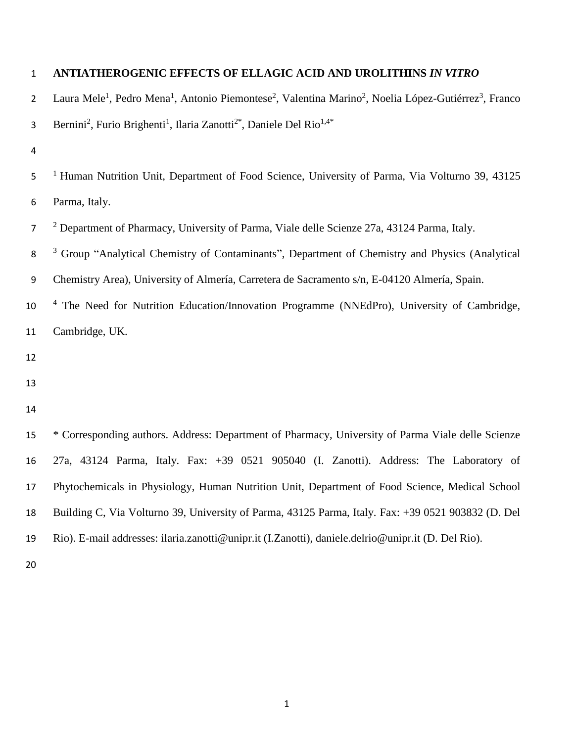| $\mathbf{1}$   | ANTIATHEROGENIC EFFECTS OF ELLAGIC ACID AND UROLITHINS IN VITRO                                                                                                    |
|----------------|--------------------------------------------------------------------------------------------------------------------------------------------------------------------|
| $\overline{2}$ | Laura Mele <sup>1</sup> , Pedro Mena <sup>1</sup> , Antonio Piemontese <sup>2</sup> , Valentina Marino <sup>2</sup> , Noelia López-Gutiérrez <sup>3</sup> , Franco |
| 3              | Bernini <sup>2</sup> , Furio Brighenti <sup>1</sup> , Ilaria Zanotti <sup>2*</sup> , Daniele Del Rio <sup>1,4*</sup>                                               |
| 4              |                                                                                                                                                                    |
| 5              | <sup>1</sup> Human Nutrition Unit, Department of Food Science, University of Parma, Via Volturno 39, 43125                                                         |
| 6              | Parma, Italy.                                                                                                                                                      |
| $\overline{7}$ | <sup>2</sup> Department of Pharmacy, University of Parma, Viale delle Scienze 27a, 43124 Parma, Italy.                                                             |
| 8              | <sup>3</sup> Group "Analytical Chemistry of Contaminants", Department of Chemistry and Physics (Analytical                                                         |
| 9              | Chemistry Area), University of Almería, Carretera de Sacramento s/n, E-04120 Almería, Spain.                                                                       |
| 10             | <sup>4</sup> The Need for Nutrition Education/Innovation Programme (NNEdPro), University of Cambridge,                                                             |
| 11             | Cambridge, UK.                                                                                                                                                     |
| 12             |                                                                                                                                                                    |
| 13             |                                                                                                                                                                    |
| 14             |                                                                                                                                                                    |
| 15             | * Corresponding authors. Address: Department of Pharmacy, University of Parma Viale delle Scienze                                                                  |
| 16             | 27a, 43124 Parma, Italy. Fax: +39 0521 905040 (I. Zanotti). Address: The Laboratory of                                                                             |
| 17             | Phytochemicals in Physiology, Human Nutrition Unit, Department of Food Science, Medical School                                                                     |

- 18 Building C, Via Volturno 39, University of Parma, 43125 Parma, Italy. Fax: +39 0521 903832 (D. Del
- 19 Rio). E-mail addresses: ilaria.zanotti@unipr.it (I.Zanotti), daniele.delrio@unipr.it (D. Del Rio).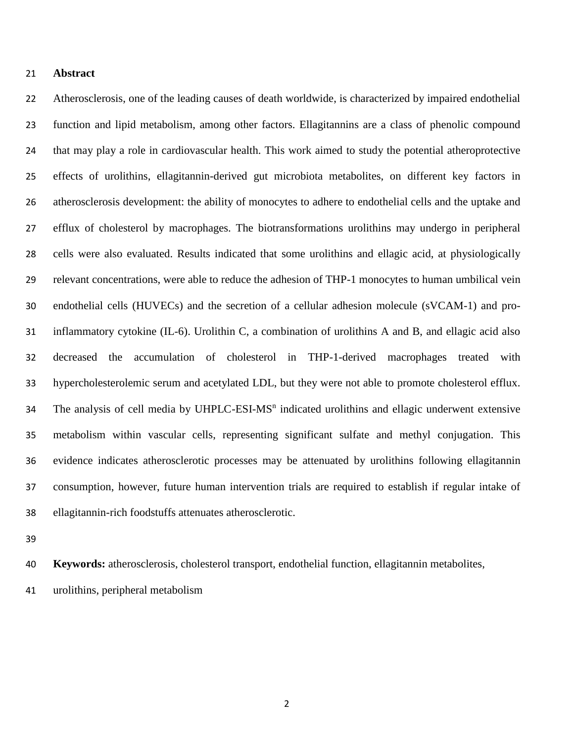# **Abstract**

 Atherosclerosis, one of the leading causes of death worldwide, is characterized by impaired endothelial function and lipid metabolism, among other factors. Ellagitannins are a class of phenolic compound that may play a role in cardiovascular health. This work aimed to study the potential atheroprotective effects of urolithins, ellagitannin-derived gut microbiota metabolites, on different key factors in atherosclerosis development: the ability of monocytes to adhere to endothelial cells and the uptake and efflux of cholesterol by macrophages. The biotransformations urolithins may undergo in peripheral cells were also evaluated. Results indicated that some urolithins and ellagic acid, at physiologically relevant concentrations, were able to reduce the adhesion of THP-1 monocytes to human umbilical vein endothelial cells (HUVECs) and the secretion of a cellular adhesion molecule (sVCAM-1) and pro- inflammatory cytokine (IL-6). Urolithin C, a combination of urolithins A and B, and ellagic acid also decreased the accumulation of cholesterol in THP-1-derived macrophages treated with hypercholesterolemic serum and acetylated LDL, but they were not able to promote cholesterol efflux. 34 The analysis of cell media by UHPLC-ESI-MS<sup>n</sup> indicated urolithins and ellagic underwent extensive metabolism within vascular cells, representing significant sulfate and methyl conjugation. This evidence indicates atherosclerotic processes may be attenuated by urolithins following ellagitannin consumption, however, future human intervention trials are required to establish if regular intake of ellagitannin-rich foodstuffs attenuates atherosclerotic.

**Keywords:** atherosclerosis, cholesterol transport, endothelial function, ellagitannin metabolites,

urolithins, peripheral metabolism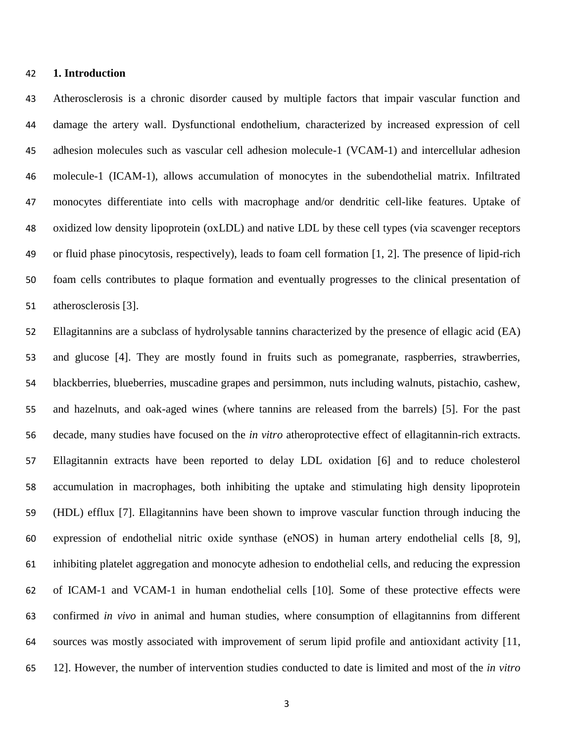# **1. Introduction**

 Atherosclerosis is a chronic disorder caused by multiple factors that impair vascular function and damage the artery wall. Dysfunctional endothelium, characterized by increased expression of cell adhesion molecules such as vascular cell adhesion molecule-1 (VCAM-1) and intercellular adhesion molecule-1 (ICAM-1), allows accumulation of monocytes in the subendothelial matrix. Infiltrated monocytes differentiate into cells with macrophage and/or dendritic cell-like features. Uptake of oxidized low density lipoprotein (oxLDL) and native LDL by these cell types (via scavenger receptors or fluid phase pinocytosis, respectively), leads to foam cell formation [\[1,](#page-17-0) [2\]](#page-17-1). The presence of lipid-rich foam cells contributes to plaque formation and eventually progresses to the clinical presentation of atherosclerosis [\[3\]](#page-17-2).

 Ellagitannins are a subclass of hydrolysable tannins characterized by the presence of ellagic acid (EA) and glucose [\[4\]](#page-17-3). They are mostly found in fruits such as pomegranate, raspberries, strawberries, blackberries, blueberries, muscadine grapes and persimmon, nuts including walnuts, pistachio, cashew, and hazelnuts, and oak-aged wines (where tannins are released from the barrels) [\[5\]](#page-17-4). For the past decade, many studies have focused on the *in vitro* atheroprotective effect of ellagitannin-rich extracts. Ellagitannin extracts have been reported to delay LDL oxidation [\[6\]](#page-17-5) and to reduce cholesterol accumulation in macrophages, both inhibiting the uptake and stimulating high density lipoprotein (HDL) efflux [\[7\]](#page-18-0). Ellagitannins have been shown to improve vascular function through inducing the expression of endothelial nitric oxide synthase (eNOS) in human artery endothelial cells [\[8,](#page-18-1) [9\]](#page-18-2), inhibiting platelet aggregation and monocyte adhesion to endothelial cells, and reducing the expression of ICAM-1 and VCAM-1 in human endothelial cells [\[10\]](#page-18-3)*.* Some of these protective effects were confirmed *in vivo* in animal and human studies, where consumption of ellagitannins from different sources was mostly associated with improvement of serum lipid profile and antioxidant activity [\[11,](#page-18-4) [12\]](#page-18-5). However, the number of intervention studies conducted to date is limited and most of the *in vitro*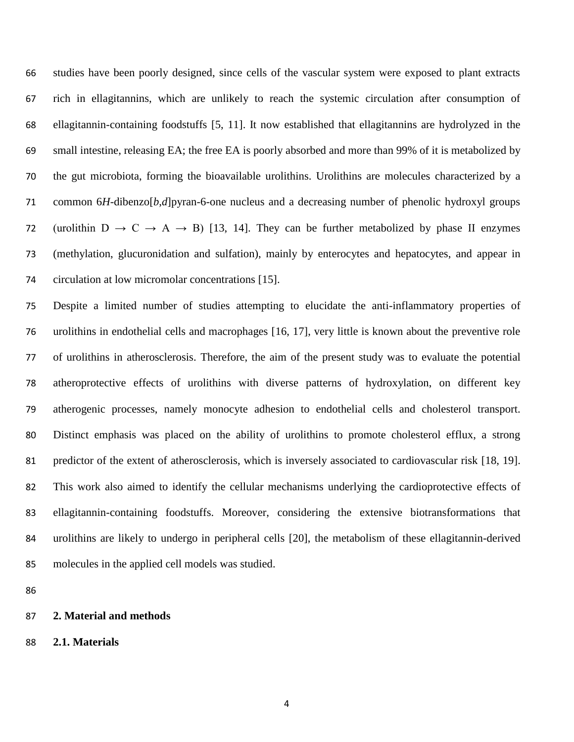studies have been poorly designed, since cells of the vascular system were exposed to plant extracts rich in ellagitannins, which are unlikely to reach the systemic circulation after consumption of ellagitannin-containing foodstuffs [\[5,](#page-17-4) [11\]](#page-18-4). It now established that ellagitannins are hydrolyzed in the small intestine, releasing EA; the free EA is poorly absorbed and more than 99% of it is metabolized by the gut microbiota, forming the bioavailable urolithins. Urolithins are molecules characterized by a common 6*H*-dibenzo[*b*,*d*]pyran-6-one nucleus and a decreasing number of phenolic hydroxyl groups 72 (urolithin  $D \rightarrow C \rightarrow A \rightarrow B$ ) [\[13,](#page-18-6) [14\]](#page-18-7). They can be further metabolized by phase II enzymes (methylation, glucuronidation and sulfation), mainly by enterocytes and hepatocytes, and appear in circulation at low micromolar concentrations [\[15\]](#page-19-0).

 Despite a limited number of studies attempting to elucidate the anti-inflammatory properties of urolithins in endothelial cells and macrophages [\[16,](#page-19-1) [17\]](#page-19-2), very little is known about the preventive role of urolithins in atherosclerosis. Therefore, the aim of the present study was to evaluate the potential atheroprotective effects of urolithins with diverse patterns of hydroxylation, on different key atherogenic processes, namely monocyte adhesion to endothelial cells and cholesterol transport. Distinct emphasis was placed on the ability of urolithins to promote cholesterol efflux, a strong predictor of the extent of atherosclerosis, which is inversely associated to cardiovascular risk [\[18,](#page-19-3) [19\]](#page-19-4). This work also aimed to identify the cellular mechanisms underlying the cardioprotective effects of ellagitannin-containing foodstuffs. Moreover, considering the extensive biotransformations that urolithins are likely to undergo in peripheral cells [\[20\]](#page-19-5), the metabolism of these ellagitannin-derived molecules in the applied cell models was studied.

- **2. Material and methods**
- **2.1. Materials**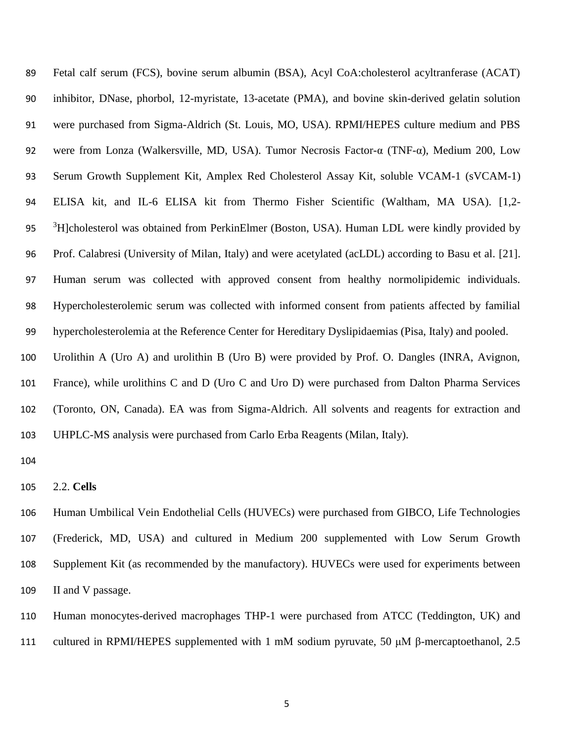Fetal calf serum (FCS), bovine serum albumin (BSA), Acyl CoA:cholesterol acyltranferase (ACAT) inhibitor, DNase, phorbol, 12-myristate, 13-acetate (PMA), and bovine skin-derived gelatin solution were purchased from Sigma-Aldrich (St. Louis, MO, USA). RPMI/HEPES culture medium and PBS were from Lonza (Walkersville, MD, USA). Tumor Necrosis Factor-α (TNF-α), Medium 200, Low Serum Growth Supplement Kit, Amplex Red Cholesterol Assay Kit, soluble VCAM-1 (sVCAM-1) ELISA kit, and IL-6 ELISA kit from Thermo Fisher Scientific (Waltham, MA USA). [1,2- 95 <sup>3</sup>H]cholesterol was obtained from PerkinElmer (Boston, USA). Human LDL were kindly provided by Prof. Calabresi (University of Milan, Italy) and were acetylated (acLDL) according to Basu et al. [\[21\]](#page-19-6). Human serum was collected with approved consent from healthy normolipidemic individuals. Hypercholesterolemic serum was collected with informed consent from patients affected by familial hypercholesterolemia at the Reference Center for Hereditary Dyslipidaemias (Pisa, Italy) and pooled. Urolithin A (Uro A) and urolithin B (Uro B) were provided by Prof. O. Dangles (INRA, Avignon, France), while urolithins C and D (Uro C and Uro D) were purchased from Dalton Pharma Services (Toronto, ON, Canada). EA was from Sigma-Aldrich. All solvents and reagents for extraction and UHPLC-MS analysis were purchased from Carlo Erba Reagents (Milan, Italy).

# 2.2. **Cells**

 Human Umbilical Vein Endothelial Cells (HUVECs) were purchased from GIBCO, Life Technologies (Frederick, MD, USA) and cultured in Medium 200 supplemented with Low Serum Growth Supplement Kit (as recommended by the manufactory). HUVECs were used for experiments between II and V passage.

Human monocytes-derived macrophages THP-1 were purchased from ATCC (Teddington, UK) and

cultured in RPMI/HEPES supplemented with 1 mM sodium pyruvate, 50 μM β-mercaptoethanol, 2.5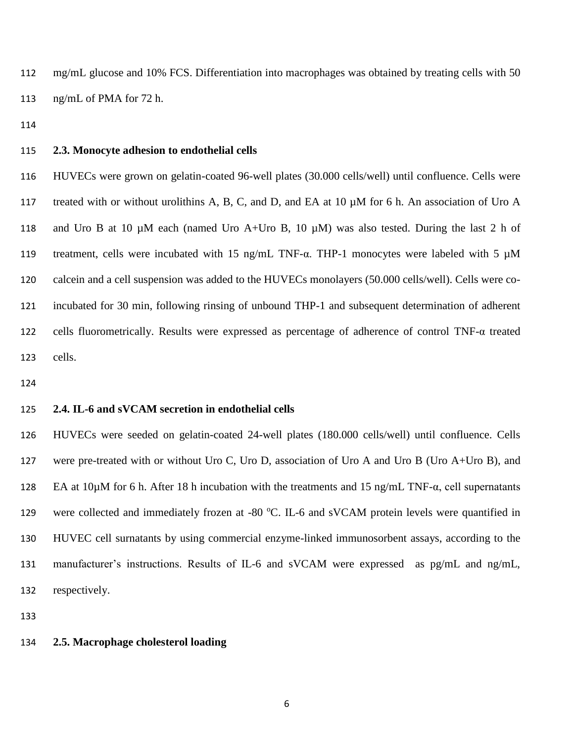mg/mL glucose and 10% FCS. Differentiation into macrophages was obtained by treating cells with 50 ng/mL of PMA for 72 h.

#### **2.3. Monocyte adhesion to endothelial cells**

 HUVECs were grown on gelatin-coated 96-well plates (30.000 cells/well) until confluence. Cells were treated with or without urolithins A, B, C, and D, and EA at 10 µM for 6 h. An association of Uro A 118 and Uro B at 10  $\mu$ M each (named Uro A+Uro B, 10  $\mu$ M) was also tested. During the last 2 h of treatment, cells were incubated with 15 ng/mL TNF-α. THP-1 monocytes were labeled with 5 µM calcein and a cell suspension was added to the HUVECs monolayers (50.000 cells/well). Cells were co- incubated for 30 min, following rinsing of unbound THP-1 and subsequent determination of adherent cells fluorometrically. Results were expressed as percentage of adherence of control TNF-α treated cells.

# **2.4. IL-6 and sVCAM secretion in endothelial cells**

 HUVECs were seeded on gelatin-coated 24-well plates (180.000 cells/well) until confluence. Cells were pre-treated with or without Uro C, Uro D, association of Uro A and Uro B (Uro A+Uro B), and 128 EA at  $10\mu$ M for 6 h. After 18 h incubation with the treatments and 15 ng/mL TNF- $\alpha$ , cell supernatants 129 were collected and immediately frozen at -80 °C. IL-6 and sVCAM protein levels were quantified in HUVEC cell surnatants by using commercial enzyme-linked immunosorbent assays, according to the manufacturer's instructions. Results of IL-6 and sVCAM were expressed as pg/mL and ng/mL, respectively.

#### **2.5. Macrophage cholesterol loading**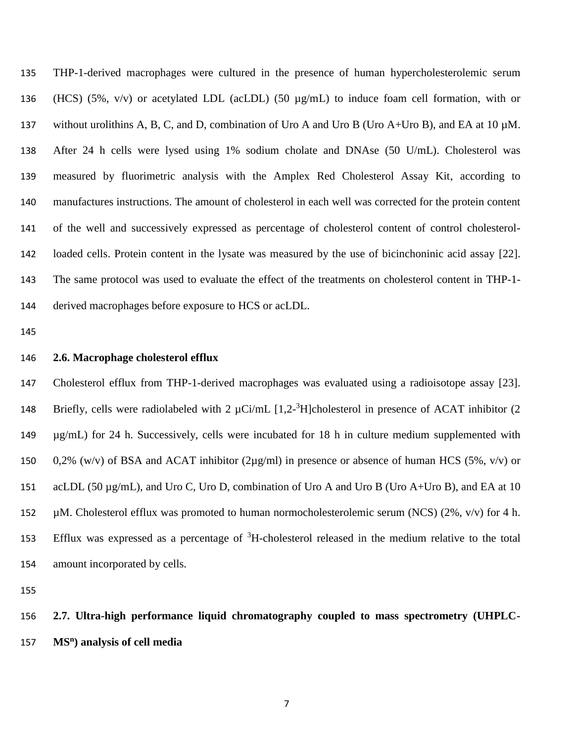THP-1-derived macrophages were cultured in the presence of human hypercholesterolemic serum (HCS) (5%, v/v) or acetylated LDL (acLDL) (50 µg/mL) to induce foam cell formation, with or 137 without urolithins A, B, C, and D, combination of Uro A and Uro B (Uro A+Uro B), and EA at 10 µM. After 24 h cells were lysed using 1% sodium cholate and DNAse (50 U/mL). Cholesterol was measured by fluorimetric analysis with the Amplex Red Cholesterol Assay Kit, according to manufactures instructions. The amount of cholesterol in each well was corrected for the protein content of the well and successively expressed as percentage of cholesterol content of control cholesterol- loaded cells. Protein content in the lysate was measured by the use of bicinchoninic acid assay [\[22\]](#page-19-7). The same protocol was used to evaluate the effect of the treatments on cholesterol content in THP-1- derived macrophages before exposure to HCS or acLDL.

## **2.6. Macrophage cholesterol efflux**

 Cholesterol efflux from THP-1-derived macrophages was evaluated using a radioisotope assay [\[23\]](#page-20-0). 148 Briefly, cells were radiolabeled with 2  $\mu$ Ci/mL [1,2-<sup>3</sup>H]cholesterol in presence of ACAT inhibitor (2 µg/mL) for 24 h. Successively, cells were incubated for 18 h in culture medium supplemented with 150 0,2% (w/v) of BSA and ACAT inhibitor (2 $\mu$ g/ml) in presence or absence of human HCS (5%, v/v) or acLDL (50 µg/mL), and Uro C, Uro D, combination of Uro A and Uro B (Uro A+Uro B), and EA at 10 µM. Cholesterol efflux was promoted to human normocholesterolemic serum (NCS) (2%, v/v) for 4 h. 153 Efflux was expressed as a percentage of  ${}^{3}$ H-cholesterol released in the medium relative to the total amount incorporated by cells.

# **2.7. Ultra-high performance liquid chromatography coupled to mass spectrometry (UHPLC-MS<sup>n</sup> ) analysis of cell media**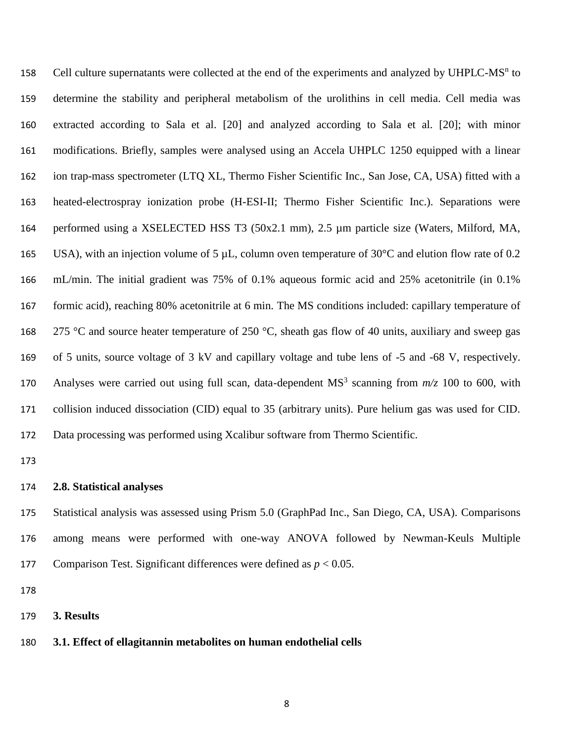158 Cell culture supernatants were collected at the end of the experiments and analyzed by UHPLC-MS<sup>n</sup> to determine the stability and peripheral metabolism of the urolithins in cell media. Cell media was extracted according to Sala et al. [\[20\]](#page-19-5) and analyzed according to Sala et al. [\[20\]](#page-19-5); with minor modifications. Briefly, samples were analysed using an Accela UHPLC 1250 equipped with a linear ion trap-mass spectrometer (LTQ XL, Thermo Fisher Scientific Inc., San Jose, CA, USA) fitted with a heated-electrospray ionization probe (H-ESI-II; Thermo Fisher Scientific Inc.). Separations were performed using a XSELECTED HSS T3 (50x2.1 mm), 2.5 µm particle size (Waters, Milford, MA, 165 USA), with an injection volume of 5  $\mu$ L, column oven temperature of 30 $\degree$ C and elution flow rate of 0.2 mL/min. The initial gradient was 75% of 0.1% aqueous formic acid and 25% acetonitrile (in 0.1% formic acid), reaching 80% acetonitrile at 6 min. The MS conditions included: capillary temperature of 168 275 °C and source heater temperature of 250 °C, sheath gas flow of 40 units, auxiliary and sweep gas of 5 units, source voltage of 3 kV and capillary voltage and tube lens of -5 and -68 V, respectively. 170 Analyses were carried out using full scan, data-dependent  $MS<sup>3</sup>$  scanning from  $m/z$  100 to 600, with collision induced dissociation (CID) equal to 35 (arbitrary units). Pure helium gas was used for CID. Data processing was performed using Xcalibur software from Thermo Scientific.

#### **2.8. Statistical analyses**

 Statistical analysis was assessed using Prism 5.0 (GraphPad Inc., San Diego, CA, USA). Comparisons among means were performed with one-way ANOVA followed by Newman-Keuls Multiple Comparison Test. Significant differences were defined as *p* < 0.05.

**3. Results**

## **3.1. Effect of ellagitannin metabolites on human endothelial cells**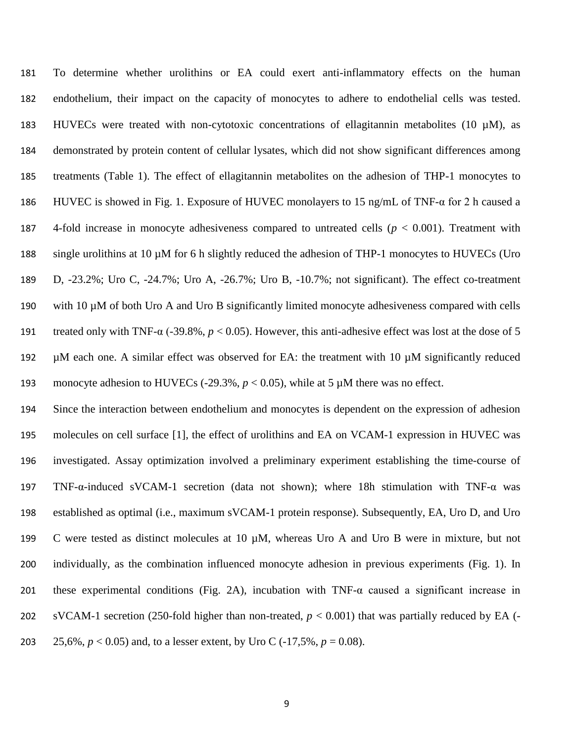To determine whether urolithins or EA could exert anti-inflammatory effects on the human endothelium, their impact on the capacity of monocytes to adhere to endothelial cells was tested. HUVECs were treated with non-cytotoxic concentrations of ellagitannin metabolites (10 µM), as demonstrated by protein content of cellular lysates, which did not show significant differences among treatments (Table 1). The effect of ellagitannin metabolites on the adhesion of THP-1 monocytes to HUVEC is showed in Fig. 1. Exposure of HUVEC monolayers to 15 ng/mL of TNF-α for 2 h caused a 4-fold increase in monocyte adhesiveness compared to untreated cells (*p* < 0.001). Treatment with single urolithins at 10 µM for 6 h slightly reduced the adhesion of THP-1 monocytes to HUVECs (Uro D, -23.2%; Uro C, -24.7%; Uro A, -26.7%; Uro B, -10.7%; not significant). The effect co-treatment with 10 µM of both Uro A and Uro B significantly limited monocyte adhesiveness compared with cells treated only with TNF-α (-39.8%, *p* < 0.05). However, this anti-adhesive effect was lost at the dose of 5 µM each one. A similar effect was observed for EA: the treatment with 10 µM significantly reduced 193 monocyte adhesion to HUVECs  $(-29.3\%, p < 0.05)$ , while at 5  $\mu$ M there was no effect.

 Since the interaction between endothelium and monocytes is dependent on the expression of adhesion molecules on cell surface [\[1\]](#page-17-0), the effect of urolithins and EA on VCAM-1 expression in HUVEC was investigated. Assay optimization involved a preliminary experiment establishing the time-course of TNF-α-induced sVCAM-1 secretion (data not shown); where 18h stimulation with TNF-α was established as optimal (i.e., maximum sVCAM-1 protein response). Subsequently, EA, Uro D, and Uro C were tested as distinct molecules at 10 µM, whereas Uro A and Uro B were in mixture, but not individually, as the combination influenced monocyte adhesion in previous experiments (Fig. 1). In 201 these experimental conditions (Fig. 2A), incubation with  $TNF-\alpha$  caused a significant increase in sVCAM-1 secretion (250-fold higher than non-treated, *p* < 0.001) that was partially reduced by EA (- 203 25,6%,  $p < 0.05$ ) and, to a lesser extent, by Uro C (-17,5%,  $p = 0.08$ ).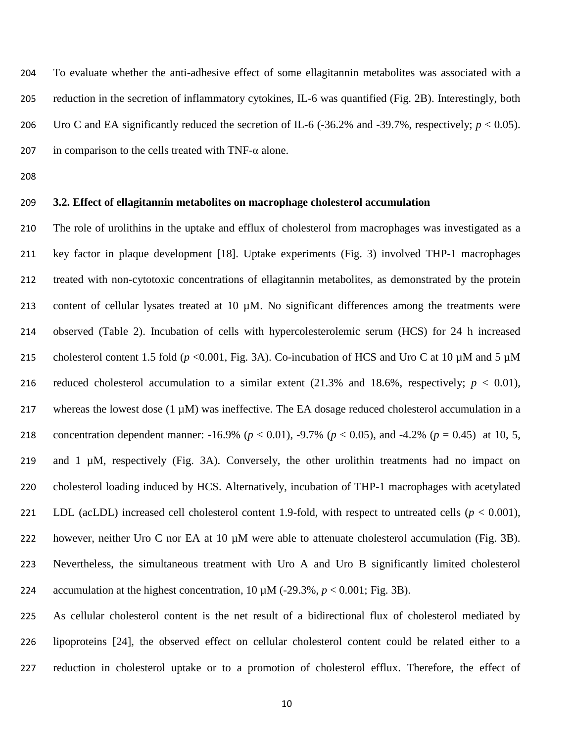204 To evaluate whether the anti-adhesive effect of some ellagitannin metabolites was associated with a 205 reduction in the secretion of inflammatory cytokines, IL-6 was quantified (Fig. 2B). Interestingly, both 206 Uro C and EA significantly reduced the secretion of IL-6 (-36.2% and -39.7%, respectively;  $p < 0.05$ ). 207 in comparison to the cells treated with  $TNF-\alpha$  alone.

208

## 209 **3.2. Effect of ellagitannin metabolites on macrophage cholesterol accumulation**

210 The role of urolithins in the uptake and efflux of cholesterol from macrophages was investigated as a 211 key factor in plaque development [\[18\]](#page-19-3). Uptake experiments (Fig. 3) involved THP-1 macrophages 212 treated with non-cytotoxic concentrations of ellagitannin metabolites, as demonstrated by the protein 213 content of cellular lysates treated at 10  $\mu$ M. No significant differences among the treatments were 214 observed (Table 2). Incubation of cells with hypercolesterolemic serum (HCS) for 24 h increased 215 cholesterol content 1.5 fold ( $p < 0.001$ , Fig. 3A). Co-incubation of HCS and Uro C at 10  $\mu$ M and 5  $\mu$ M 216 reduced cholesterol accumulation to a similar extent  $(21.3\%$  and 18.6%, respectively;  $p < 0.01$ ), 217 whereas the lowest dose  $(1 \mu M)$  was ineffective. The EA dosage reduced cholesterol accumulation in a 218 concentration dependent manner: -16.9% (*p* < 0.01), -9.7% (*p* < 0.05), and -4.2% (*p* = 0.45) at 10, 5, 219 and 1 µM, respectively (Fig. 3A). Conversely, the other urolithin treatments had no impact on 220 cholesterol loading induced by HCS. Alternatively, incubation of THP-1 macrophages with acetylated 221 LDL (acLDL) increased cell cholesterol content 1.9-fold, with respect to untreated cells ( $p < 0.001$ ), 222 however, neither Uro C nor EA at 10  $\mu$ M were able to attenuate cholesterol accumulation (Fig. 3B). 223 Nevertheless, the simultaneous treatment with Uro A and Uro B significantly limited cholesterol 224 accumulation at the highest concentration,  $10 \mu M$  (-29.3%,  $p < 0.001$ ; Fig. 3B).

225 As cellular cholesterol content is the net result of a bidirectional flux of cholesterol mediated by 226 lipoproteins [\[24\]](#page-20-1), the observed effect on cellular cholesterol content could be related either to a 227 reduction in cholesterol uptake or to a promotion of cholesterol efflux. Therefore, the effect of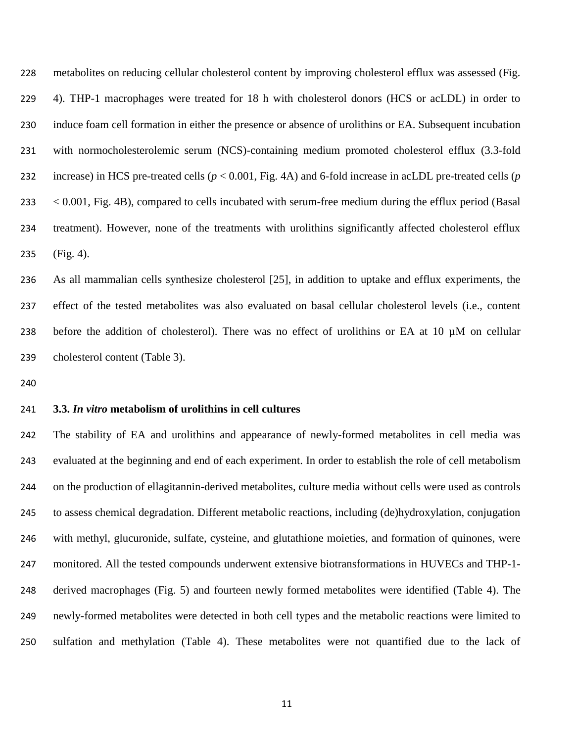metabolites on reducing cellular cholesterol content by improving cholesterol efflux was assessed (Fig. 4). THP-1 macrophages were treated for 18 h with cholesterol donors (HCS or acLDL) in order to induce foam cell formation in either the presence or absence of urolithins or EA. Subsequent incubation with normocholesterolemic serum (NCS)-containing medium promoted cholesterol efflux (3.3-fold increase) in HCS pre-treated cells (*p* < 0.001, Fig. 4A) and 6-fold increase in acLDL pre-treated cells (*p* < 0.001, Fig. 4B), compared to cells incubated with serum-free medium during the efflux period (Basal treatment). However, none of the treatments with urolithins significantly affected cholesterol efflux (Fig. 4).

 As all mammalian cells synthesize cholesterol [\[25\]](#page-20-2), in addition to uptake and efflux experiments, the effect of the tested metabolites was also evaluated on basal cellular cholesterol levels (i.e., content 238 before the addition of cholesterol). There was no effect of urolithins or EA at 10  $\mu$ M on cellular cholesterol content (Table 3).

#### **3.3.** *In vitro* **metabolism of urolithins in cell cultures**

 The stability of EA and urolithins and appearance of newly-formed metabolites in cell media was evaluated at the beginning and end of each experiment. In order to establish the role of cell metabolism on the production of ellagitannin-derived metabolites, culture media without cells were used as controls to assess chemical degradation. Different metabolic reactions, including (de)hydroxylation, conjugation with methyl, glucuronide, sulfate, cysteine, and glutathione moieties, and formation of quinones, were monitored. All the tested compounds underwent extensive biotransformations in HUVECs and THP-1- derived macrophages (Fig. 5) and fourteen newly formed metabolites were identified (Table 4). The newly-formed metabolites were detected in both cell types and the metabolic reactions were limited to sulfation and methylation (Table 4). These metabolites were not quantified due to the lack of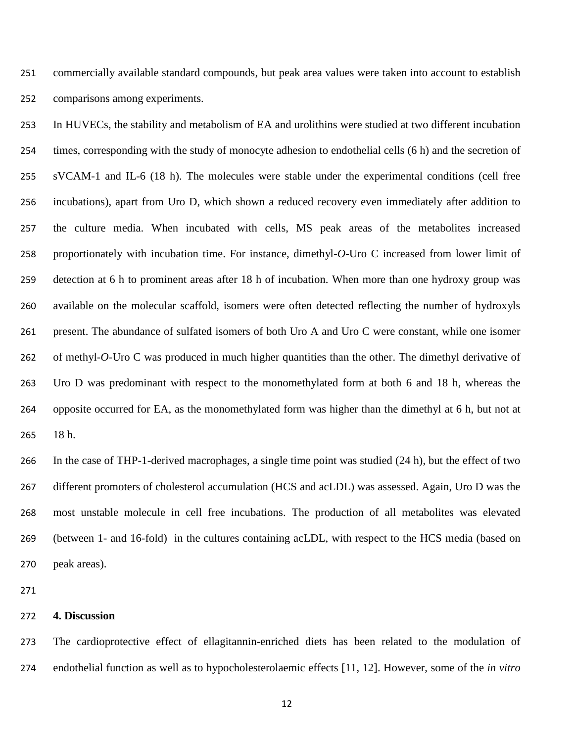commercially available standard compounds, but peak area values were taken into account to establish comparisons among experiments.

 In HUVECs, the stability and metabolism of EA and urolithins were studied at two different incubation times, corresponding with the study of monocyte adhesion to endothelial cells (6 h) and the secretion of sVCAM-1 and IL-6 (18 h). The molecules were stable under the experimental conditions (cell free incubations), apart from Uro D, which shown a reduced recovery even immediately after addition to the culture media. When incubated with cells, MS peak areas of the metabolites increased proportionately with incubation time. For instance, dimethyl-*O*-Uro C increased from lower limit of detection at 6 h to prominent areas after 18 h of incubation. When more than one hydroxy group was available on the molecular scaffold, isomers were often detected reflecting the number of hydroxyls present. The abundance of sulfated isomers of both Uro A and Uro C were constant, while one isomer of methyl-*O*-Uro C was produced in much higher quantities than the other. The dimethyl derivative of Uro D was predominant with respect to the monomethylated form at both 6 and 18 h, whereas the opposite occurred for EA, as the monomethylated form was higher than the dimethyl at 6 h, but not at 18 h.

 In the case of THP-1-derived macrophages, a single time point was studied (24 h), but the effect of two different promoters of cholesterol accumulation (HCS and acLDL) was assessed. Again, Uro D was the most unstable molecule in cell free incubations. The production of all metabolites was elevated (between 1- and 16-fold) in the cultures containing acLDL, with respect to the HCS media (based on peak areas).

## **4. Discussion**

 The cardioprotective effect of ellagitannin-enriched diets has been related to the modulation of endothelial function as well as to hypocholesterolaemic effects [\[11,](#page-18-4) [12\]](#page-18-5). However, some of the *in vitro*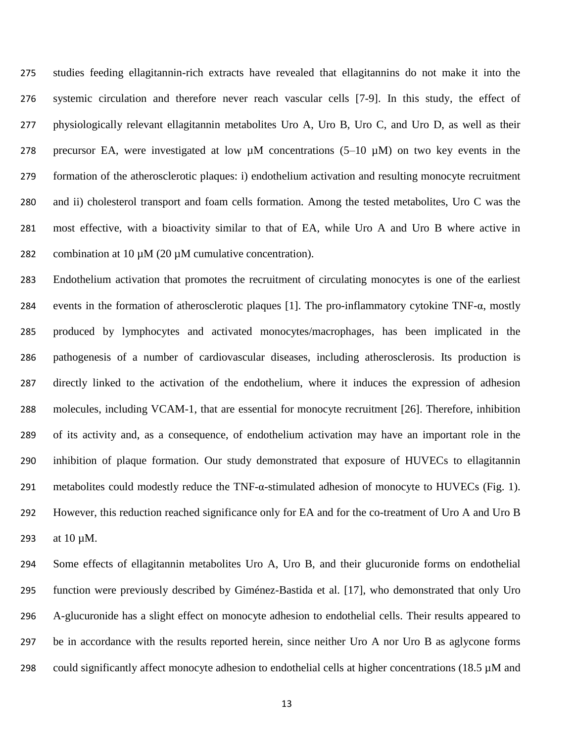studies feeding ellagitannin-rich extracts have revealed that ellagitannins do not make it into the systemic circulation and therefore never reach vascular cells [\[7-9\]](#page-18-0). In this study, the effect of physiologically relevant ellagitannin metabolites Uro A, Uro B, Uro C, and Uro D, as well as their 278 precursor EA, were investigated at low  $\mu$ M concentrations (5–10  $\mu$ M) on two key events in the formation of the atherosclerotic plaques: i) endothelium activation and resulting monocyte recruitment and ii) cholesterol transport and foam cells formation. Among the tested metabolites, Uro C was the most effective, with a bioactivity similar to that of EA, while Uro A and Uro B where active in 282 combination at 10  $\mu$ M (20  $\mu$ M cumulative concentration).

 Endothelium activation that promotes the recruitment of circulating monocytes is one of the earliest events in the formation of atherosclerotic plaques [\[1\]](#page-17-0). The pro-inflammatory cytokine TNF-α, mostly produced by lymphocytes and activated monocytes/macrophages, has been implicated in the pathogenesis of a number of cardiovascular diseases, including atherosclerosis. Its production is directly linked to the activation of the endothelium, where it induces the expression of adhesion molecules, including VCAM-1, that are essential for monocyte recruitment [\[26\]](#page-20-3). Therefore, inhibition of its activity and, as a consequence, of endothelium activation may have an important role in the inhibition of plaque formation. Our study demonstrated that exposure of HUVECs to ellagitannin 291 metabolites could modestly reduce the TNF- $\alpha$ -stimulated adhesion of monocyte to HUVECs (Fig. 1). However, this reduction reached significance only for EA and for the co-treatment of Uro A and Uro B at 10 µM.

 Some effects of ellagitannin metabolites Uro A, Uro B, and their glucuronide forms on endothelial function were previously described by Giménez-Bastida et al. [\[17\]](#page-19-2), who demonstrated that only Uro A-glucuronide has a slight effect on monocyte adhesion to endothelial cells. Their results appeared to be in accordance with the results reported herein, since neither Uro A nor Uro B as aglycone forms 298 could significantly affect monocyte adhesion to endothelial cells at higher concentrations (18.5  $\mu$ M and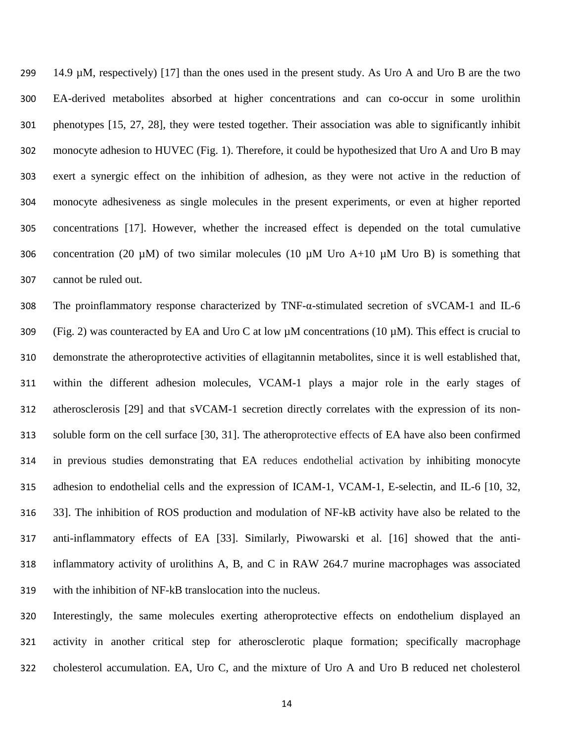14.9 µM, respectively) [\[17\]](#page-19-2) than the ones used in the present study. As Uro A and Uro B are the two EA-derived metabolites absorbed at higher concentrations and can co-occur in some urolithin phenotypes [\[15,](#page-19-0) [27,](#page-20-4) [28\]](#page-20-5), they were tested together. Their association was able to significantly inhibit monocyte adhesion to HUVEC (Fig. 1). Therefore, it could be hypothesized that Uro A and Uro B may exert a synergic effect on the inhibition of adhesion, as they were not active in the reduction of monocyte adhesiveness as single molecules in the present experiments, or even at higher reported concentrations [\[17\]](#page-19-2). However, whether the increased effect is depended on the total cumulative 306 concentration (20  $\mu$ M) of two similar molecules (10  $\mu$ M Uro A+10  $\mu$ M Uro B) is something that cannot be ruled out.

 The proinflammatory response characterized by TNF-α-stimulated secretion of sVCAM-1 and IL-6 309 (Fig. 2) was counteracted by EA and Uro C at low  $\mu$ M concentrations (10  $\mu$ M). This effect is crucial to demonstrate the atheroprotective activities of ellagitannin metabolites, since it is well established that, within the different adhesion molecules, VCAM-1 plays a major role in the early stages of atherosclerosis [\[29\]](#page-20-6) and that sVCAM-1 secretion directly correlates with the expression of its non- soluble form on the cell surface [\[30,](#page-20-7) [31\]](#page-20-8). The atheroprotective effects of EA have also been confirmed in previous studies demonstrating that EA reduces endothelial activation by inhibiting monocyte adhesion to endothelial cells and the expression of ICAM-1, VCAM-1, E-selectin, and IL-6 [\[10,](#page-18-3) [32,](#page-20-9) [33\]](#page-21-0). The inhibition of ROS production and modulation of NF-kB activity have also be related to the anti-inflammatory effects of EA [\[33\]](#page-21-0). Similarly, Piwowarski et al. [\[16\]](#page-19-1) showed that the anti- inflammatory activity of urolithins A, B, and C in RAW 264.7 murine macrophages was associated with the inhibition of NF-kB translocation into the nucleus.

 Interestingly, the same molecules exerting atheroprotective effects on endothelium displayed an activity in another critical step for atherosclerotic plaque formation; specifically macrophage cholesterol accumulation. EA, Uro C, and the mixture of Uro A and Uro B reduced net cholesterol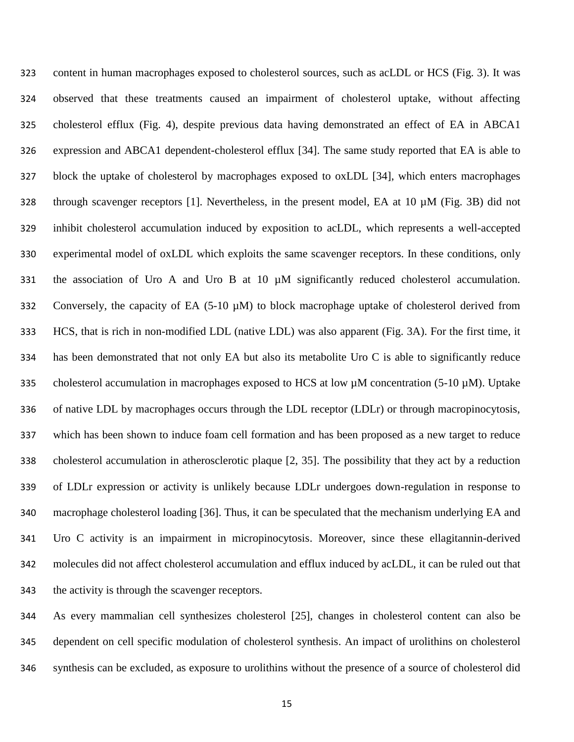content in human macrophages exposed to cholesterol sources, such as acLDL or HCS (Fig. 3). It was observed that these treatments caused an impairment of cholesterol uptake, without affecting cholesterol efflux (Fig. 4), despite previous data having demonstrated an effect of EA in ABCA1 expression and ABCA1 dependent-cholesterol efflux [\[34\]](#page-21-1). The same study reported that EA is able to block the uptake of cholesterol by macrophages exposed to oxLDL [\[34\]](#page-21-1), which enters macrophages through scavenger receptors [\[1\]](#page-17-0). Nevertheless, in the present model, EA at 10 µM (Fig. 3B) did not inhibit cholesterol accumulation induced by exposition to acLDL, which represents a well-accepted experimental model of oxLDL which exploits the same scavenger receptors. In these conditions, only the association of Uro A and Uro B at 10 µM significantly reduced cholesterol accumulation. 332 Conversely, the capacity of EA  $(5-10 \mu M)$  to block macrophage uptake of cholesterol derived from HCS, that is rich in non-modified LDL (native LDL) was also apparent (Fig. 3A). For the first time, it has been demonstrated that not only EA but also its metabolite Uro C is able to significantly reduce 335 cholesterol accumulation in macrophages exposed to HCS at low  $\mu$ M concentration (5-10  $\mu$ M). Uptake of native LDL by macrophages occurs through the LDL receptor (LDLr) or through macropinocytosis, which has been shown to induce foam cell formation and has been proposed as a new target to reduce cholesterol accumulation in atherosclerotic plaque [\[2,](#page-17-1) [35\]](#page-21-2). The possibility that they act by a reduction of LDLr expression or activity is unlikely because LDLr undergoes down-regulation in response to macrophage cholesterol loading [\[36\]](#page-21-3). Thus, it can be speculated that the mechanism underlying EA and Uro C activity is an impairment in micropinocytosis. Moreover, since these ellagitannin-derived molecules did not affect cholesterol accumulation and efflux induced by acLDL, it can be ruled out that the activity is through the scavenger receptors.

 As every mammalian cell synthesizes cholesterol [\[25\]](#page-20-2), changes in cholesterol content can also be dependent on cell specific modulation of cholesterol synthesis. An impact of urolithins on cholesterol synthesis can be excluded, as exposure to urolithins without the presence of a source of cholesterol did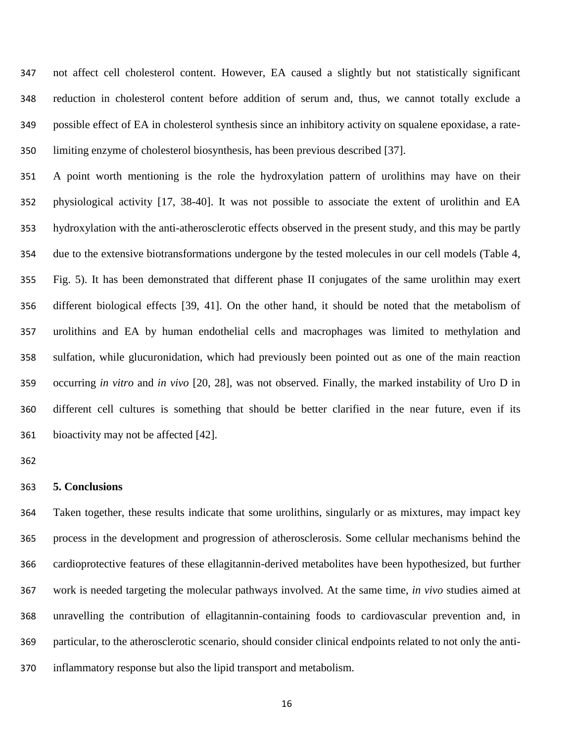not affect cell cholesterol content. However, EA caused a slightly but not statistically significant reduction in cholesterol content before addition of serum and, thus, we cannot totally exclude a possible effect of EA in cholesterol synthesis since an inhibitory activity on squalene epoxidase, a rate-limiting enzyme of cholesterol biosynthesis, has been previous described [\[37\]](#page-21-4).

 A point worth mentioning is the role the hydroxylation pattern of urolithins may have on their physiological activity [\[17,](#page-19-2) [38-40\]](#page-21-5). It was not possible to associate the extent of urolithin and EA hydroxylation with the anti-atherosclerotic effects observed in the present study, and this may be partly due to the extensive biotransformations undergone by the tested molecules in our cell models (Table 4, Fig. 5). It has been demonstrated that different phase II conjugates of the same urolithin may exert different biological effects [\[39,](#page-21-6) [41\]](#page-21-7). On the other hand, it should be noted that the metabolism of urolithins and EA by human endothelial cells and macrophages was limited to methylation and sulfation, while glucuronidation, which had previously been pointed out as one of the main reaction occurring *in vitro* and *in vivo* [\[20,](#page-19-5) [28\]](#page-20-5), was not observed. Finally, the marked instability of Uro D in different cell cultures is something that should be better clarified in the near future, even if its bioactivity may not be affected [\[42\]](#page-21-8).

# **5. Conclusions**

 Taken together, these results indicate that some urolithins, singularly or as mixtures, may impact key process in the development and progression of atherosclerosis. Some cellular mechanisms behind the cardioprotective features of these ellagitannin-derived metabolites have been hypothesized, but further work is needed targeting the molecular pathways involved. At the same time, *in vivo* studies aimed at unravelling the contribution of ellagitannin-containing foods to cardiovascular prevention and, in particular, to the atherosclerotic scenario, should consider clinical endpoints related to not only the anti-inflammatory response but also the lipid transport and metabolism.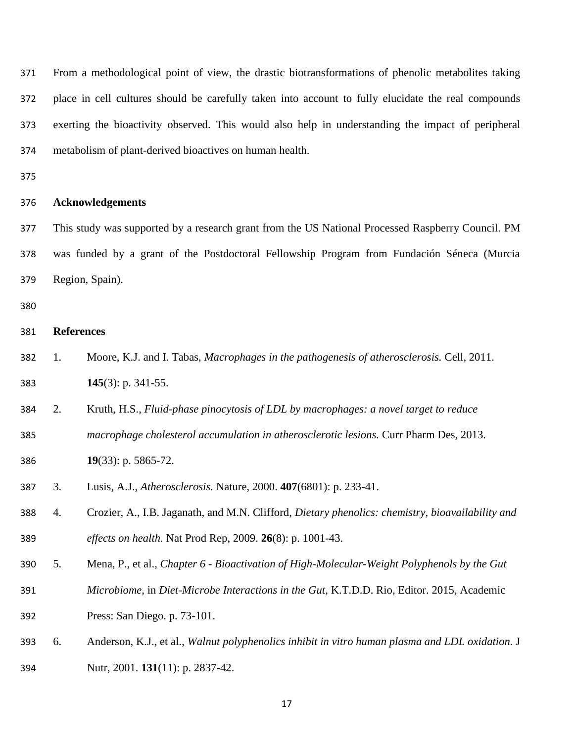From a methodological point of view, the drastic biotransformations of phenolic metabolites taking place in cell cultures should be carefully taken into account to fully elucidate the real compounds exerting the bioactivity observed. This would also help in understanding the impact of peripheral metabolism of plant-derived bioactives on human health.

#### **Acknowledgements**

 This study was supported by a research grant from the US National Processed Raspberry Council. PM was funded by a grant of the Postdoctoral Fellowship Program from Fundación Séneca (Murcia Region, Spain).

#### **References**

- <span id="page-17-0"></span> 1. Moore, K.J. and I. Tabas, *Macrophages in the pathogenesis of atherosclerosis.* Cell, 2011. **145**(3): p. 341-55.
- <span id="page-17-1"></span>2. Kruth, H.S., *Fluid-phase pinocytosis of LDL by macrophages: a novel target to reduce*
- *macrophage cholesterol accumulation in atherosclerotic lesions.* Curr Pharm Des, 2013.

**19**(33): p. 5865-72.

- <span id="page-17-2"></span>3. Lusis, A.J., *Atherosclerosis.* Nature, 2000. **407**(6801): p. 233-41.
- <span id="page-17-3"></span> 4. Crozier, A., I.B. Jaganath, and M.N. Clifford, *Dietary phenolics: chemistry, bioavailability and effects on health.* Nat Prod Rep, 2009. **26**(8): p. 1001-43.
- <span id="page-17-4"></span>5. Mena, P., et al., *Chapter 6 - Bioactivation of High-Molecular-Weight Polyphenols by the Gut*
- *Microbiome*, in *Diet-Microbe Interactions in the Gut*, K.T.D.D. Rio, Editor. 2015, Academic
- Press: San Diego. p. 73-101.
- <span id="page-17-5"></span>6. Anderson, K.J., et al., *Walnut polyphenolics inhibit in vitro human plasma and LDL oxidation.* J
- Nutr, 2001. **131**(11): p. 2837-42.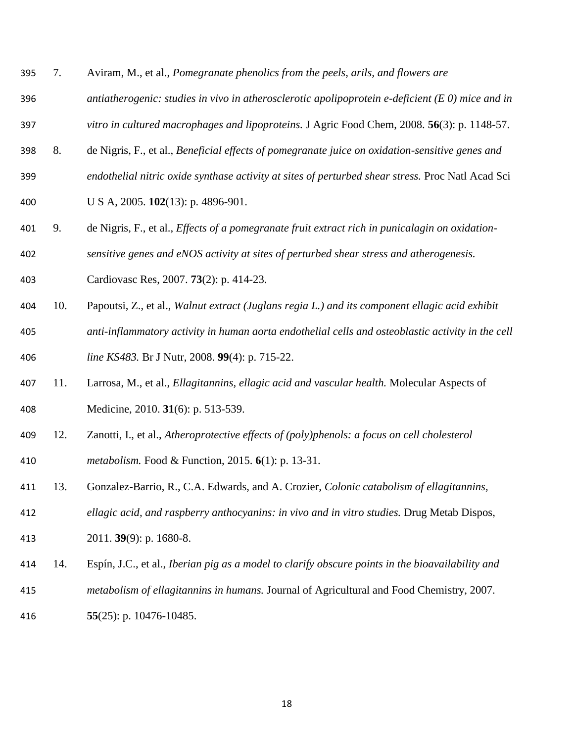- <span id="page-18-0"></span>7. Aviram, M., et al., *Pomegranate phenolics from the peels, arils, and flowers are*
- *antiatherogenic: studies in vivo in atherosclerotic apolipoprotein e-deficient (E 0) mice and in*
- *vitro in cultured macrophages and lipoproteins.* J Agric Food Chem, 2008. **56**(3): p. 1148-57.
- <span id="page-18-1"></span>8. de Nigris, F., et al., *Beneficial effects of pomegranate juice on oxidation-sensitive genes and*
- *endothelial nitric oxide synthase activity at sites of perturbed shear stress.* Proc Natl Acad Sci
- U S A, 2005. **102**(13): p. 4896-901.
- <span id="page-18-2"></span>9. de Nigris, F., et al., *Effects of a pomegranate fruit extract rich in punicalagin on oxidation-*
- *sensitive genes and eNOS activity at sites of perturbed shear stress and atherogenesis.*
- Cardiovasc Res, 2007. **73**(2): p. 414-23.
- <span id="page-18-3"></span> 10. Papoutsi, Z., et al., *Walnut extract (Juglans regia L.) and its component ellagic acid exhibit anti-inflammatory activity in human aorta endothelial cells and osteoblastic activity in the cell line KS483.* Br J Nutr, 2008. **99**(4): p. 715-22.
- <span id="page-18-4"></span> 11. Larrosa, M., et al., *Ellagitannins, ellagic acid and vascular health.* Molecular Aspects of Medicine, 2010. **31**(6): p. 513-539.
- <span id="page-18-5"></span> 12. Zanotti, I., et al., *Atheroprotective effects of (poly)phenols: a focus on cell cholesterol metabolism.* Food & Function, 2015. **6**(1): p. 13-31.
- <span id="page-18-6"></span>13. Gonzalez-Barrio, R., C.A. Edwards, and A. Crozier, *Colonic catabolism of ellagitannins,*
- *ellagic acid, and raspberry anthocyanins: in vivo and in vitro studies.* Drug Metab Dispos,
- 2011. **39**(9): p. 1680-8.
- <span id="page-18-7"></span>14. Espín, J.C., et al., *Iberian pig as a model to clarify obscure points in the bioavailability and*
- *metabolism of ellagitannins in humans.* Journal of Agricultural and Food Chemistry, 2007.
- **55**(25): p. 10476-10485.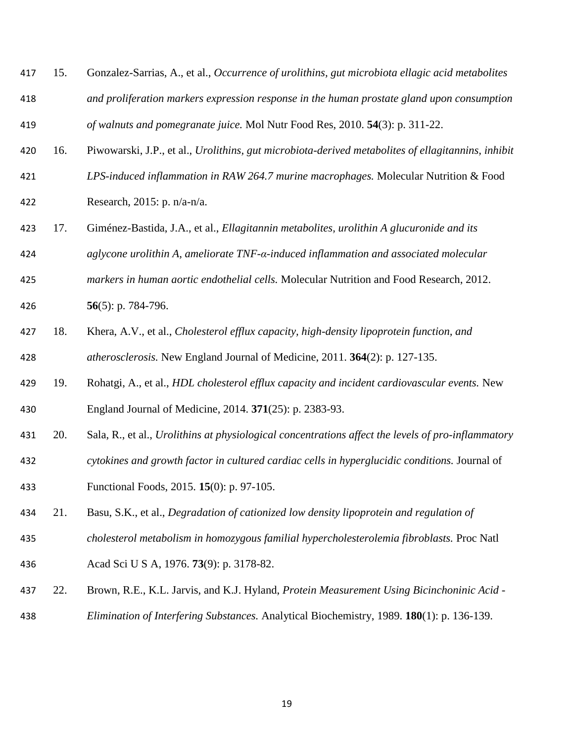- <span id="page-19-0"></span> 15. Gonzalez-Sarrias, A., et al., *Occurrence of urolithins, gut microbiota ellagic acid metabolites and proliferation markers expression response in the human prostate gland upon consumption of walnuts and pomegranate juice.* Mol Nutr Food Res, 2010. **54**(3): p. 311-22.
- <span id="page-19-1"></span>16. Piwowarski, J.P., et al., *Urolithins, gut microbiota-derived metabolites of ellagitannins, inhibit*
- *LPS-induced inflammation in RAW 264.7 murine macrophages.* Molecular Nutrition & Food Research, 2015: p. n/a-n/a.
- <span id="page-19-2"></span>17. Giménez-Bastida, J.A., et al., *Ellagitannin metabolites, urolithin A glucuronide and its*
- *aglycone urolithin A, ameliorate TNF-α-induced inflammation and associated molecular*
- *markers in human aortic endothelial cells.* Molecular Nutrition and Food Research, 2012.

**56**(5): p. 784-796.

- <span id="page-19-3"></span> 18. Khera, A.V., et al., *Cholesterol efflux capacity, high-density lipoprotein function, and atherosclerosis.* New England Journal of Medicine, 2011. **364**(2): p. 127-135.
- <span id="page-19-4"></span> 19. Rohatgi, A., et al., *HDL cholesterol efflux capacity and incident cardiovascular events.* New England Journal of Medicine, 2014. **371**(25): p. 2383-93.
- <span id="page-19-5"></span>20. Sala, R., et al., *Urolithins at physiological concentrations affect the levels of pro-inflammatory*
- *cytokines and growth factor in cultured cardiac cells in hyperglucidic conditions.* Journal of
- Functional Foods, 2015. **15**(0): p. 97-105.
- <span id="page-19-6"></span>21. Basu, S.K., et al., *Degradation of cationized low density lipoprotein and regulation of*
- *cholesterol metabolism in homozygous familial hypercholesterolemia fibroblasts.* Proc Natl
- Acad Sci U S A, 1976. **73**(9): p. 3178-82.
- <span id="page-19-7"></span> 22. Brown, R.E., K.L. Jarvis, and K.J. Hyland, *Protein Measurement Using Bicinchoninic Acid - Elimination of Interfering Substances.* Analytical Biochemistry, 1989. **180**(1): p. 136-139.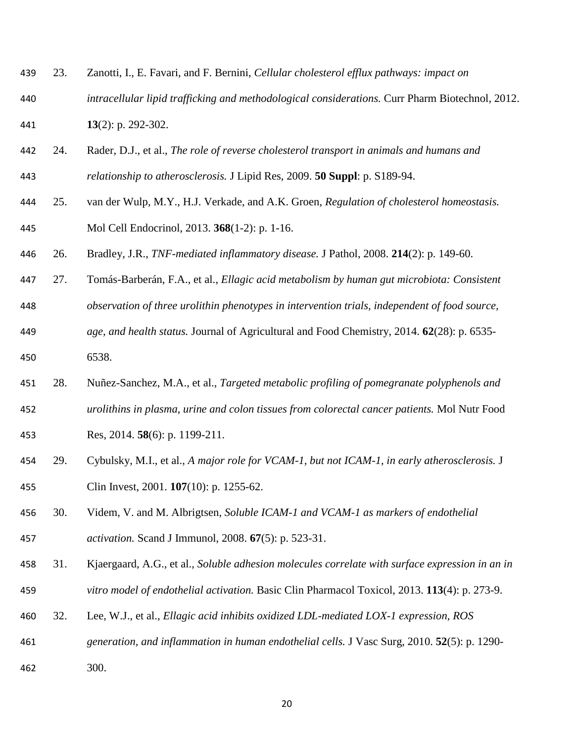<span id="page-20-0"></span>

| 439 | 23. | Zanotti, I., E. Favari, and F. Bernini, Cellular cholesterol efflux pathways: impact on         |  |  |  |  |
|-----|-----|-------------------------------------------------------------------------------------------------|--|--|--|--|
| 440 |     | intracellular lipid trafficking and methodological considerations. Curr Pharm Biotechnol, 2012. |  |  |  |  |
| 441 |     | 13(2): p. 292-302.                                                                              |  |  |  |  |

- <span id="page-20-1"></span>24. Rader, D.J., et al., *The role of reverse cholesterol transport in animals and humans and*
- *relationship to atherosclerosis.* J Lipid Res, 2009. **50 Suppl**: p. S189-94.
- <span id="page-20-2"></span> 25. van der Wulp, M.Y., H.J. Verkade, and A.K. Groen, *Regulation of cholesterol homeostasis.* Mol Cell Endocrinol, 2013. **368**(1-2): p. 1-16.
- <span id="page-20-3"></span>26. Bradley, J.R., *TNF-mediated inflammatory disease.* J Pathol, 2008. **214**(2): p. 149-60.
- <span id="page-20-4"></span>27. Tomás-Barberán, F.A., et al., *Ellagic acid metabolism by human gut microbiota: Consistent*
- *observation of three urolithin phenotypes in intervention trials, independent of food source,*
- *age, and health status.* Journal of Agricultural and Food Chemistry, 2014. **62**(28): p. 6535-
- 6538.
- <span id="page-20-5"></span> 28. Nuñez-Sanchez, M.A., et al., *Targeted metabolic profiling of pomegranate polyphenols and urolithins in plasma, urine and colon tissues from colorectal cancer patients.* Mol Nutr Food
- Res, 2014. **58**(6): p. 1199-211.
- <span id="page-20-6"></span> 29. Cybulsky, M.I., et al., *A major role for VCAM-1, but not ICAM-1, in early atherosclerosis.* J Clin Invest, 2001. **107**(10): p. 1255-62.
- <span id="page-20-7"></span> 30. Videm, V. and M. Albrigtsen, *Soluble ICAM-1 and VCAM-1 as markers of endothelial activation.* Scand J Immunol, 2008. **67**(5): p. 523-31.
- <span id="page-20-8"></span> 31. Kjaergaard, A.G., et al., *Soluble adhesion molecules correlate with surface expression in an in vitro model of endothelial activation.* Basic Clin Pharmacol Toxicol, 2013. **113**(4): p. 273-9.
- <span id="page-20-9"></span>32. Lee, W.J., et al., *Ellagic acid inhibits oxidized LDL-mediated LOX-1 expression, ROS*
- *generation, and inflammation in human endothelial cells.* J Vasc Surg, 2010. **52**(5): p. 1290-
- 300.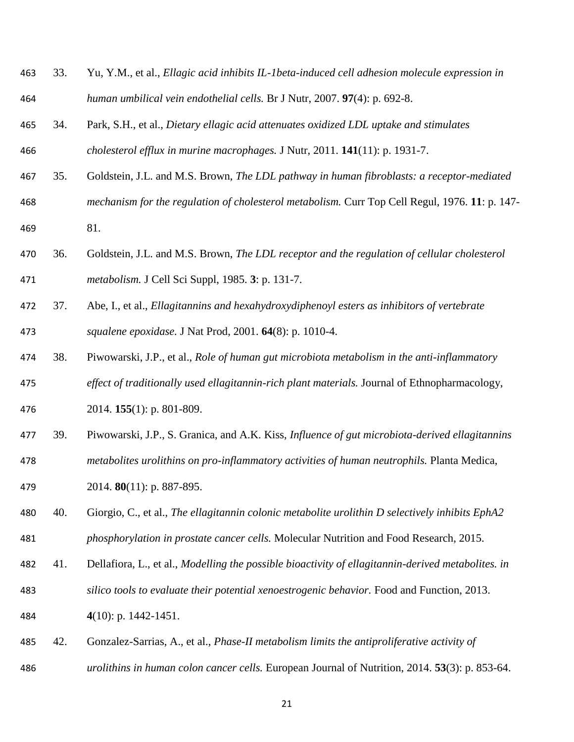<span id="page-21-3"></span><span id="page-21-2"></span><span id="page-21-1"></span><span id="page-21-0"></span>

| 463 | 33. | Yu, Y.M., et al., Ellagic acid inhibits IL-1beta-induced cell adhesion molecule expression in  |
|-----|-----|------------------------------------------------------------------------------------------------|
| 464 |     | human umbilical vein endothelial cells. Br J Nutr, 2007. 97(4): p. 692-8.                      |
| 465 | 34. | Park, S.H., et al., Dietary ellagic acid attenuates oxidized LDL uptake and stimulates         |
| 466 |     | cholesterol efflux in murine macrophages. J Nutr, 2011. 141(11): p. 1931-7.                    |
| 467 | 35. | Goldstein, J.L. and M.S. Brown, The LDL pathway in human fibroblasts: a receptor-mediated      |
| 468 |     | mechanism for the regulation of cholesterol metabolism. Curr Top Cell Regul, 1976. 11: p. 147- |
| 469 |     | 81.                                                                                            |
| 470 | 36. | Goldstein, J.L. and M.S. Brown, The LDL receptor and the regulation of cellular cholesterol    |
| 471 |     | metabolism. J Cell Sci Suppl, 1985. 3: p. 131-7.                                               |
| 472 | 37. | Abe, I., et al., Ellagitannins and hexahydroxydiphenoyl esters as inhibitors of vertebrate     |
| 473 |     | squalene epoxidase. J Nat Prod, 2001. 64(8): p. 1010-4.                                        |
| 474 | 38. | Piwowarski, J.P., et al., Role of human gut microbiota metabolism in the anti-inflammatory     |
| 475 |     | effect of traditionally used ellagitannin-rich plant materials. Journal of Ethnopharmacology,  |
| 476 |     | 2014. 155(1): p. 801-809.                                                                      |
| 477 | 39. | Piwowarski, J.P., S. Granica, and A.K. Kiss, Influence of gut microbiota-derived ellagitannins |
| 478 |     | metabolites urolithins on pro-inflammatory activities of human neutrophils. Planta Medica,     |
| 479 |     | 2014. 80(11): p. 887-895.                                                                      |

- <span id="page-21-6"></span><span id="page-21-5"></span><span id="page-21-4"></span> 40. Giorgio, C., et al., *The ellagitannin colonic metabolite urolithin D selectively inhibits EphA2 phosphorylation in prostate cancer cells.* Molecular Nutrition and Food Research, 2015.
- <span id="page-21-7"></span>41. Dellafiora, L., et al., *Modelling the possible bioactivity of ellagitannin-derived metabolites. in*
- *silico tools to evaluate their potential xenoestrogenic behavior.* Food and Function, 2013.
- **4**(10): p. 1442-1451.
- <span id="page-21-8"></span> 42. Gonzalez-Sarrias, A., et al., *Phase-II metabolism limits the antiproliferative activity of urolithins in human colon cancer cells.* European Journal of Nutrition, 2014. **53**(3): p. 853-64.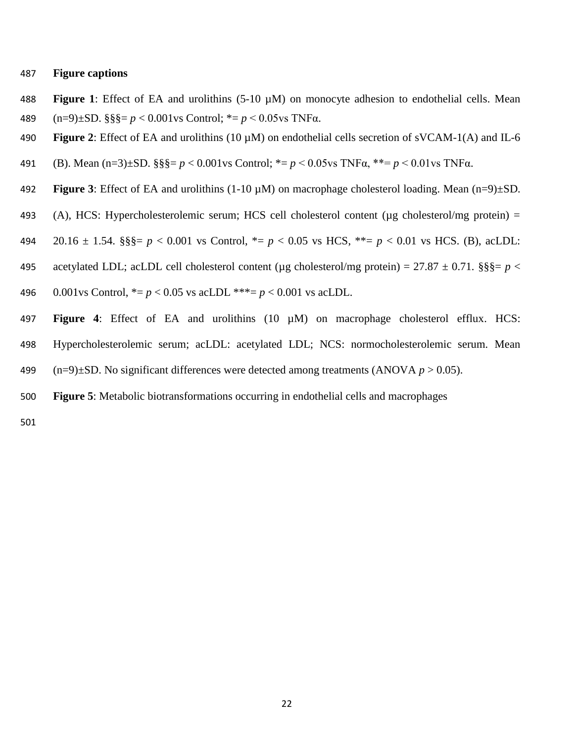#### **Figure captions**

- **Figure 1**: Effect of EA and urolithins (5-10 µM) on monocyte adhesion to endothelial cells. Mean (n=9)±SD. §§§= *p* < 0.001vs Control; \*= *p* < 0.05vs TNFα.
- **Figure 2**: Effect of EA and urolithins (10 µM) on endothelial cells secretion of sVCAM-1(A) and IL-6
- (B). Mean (n=3)±SD. §§§= *p* < 0.001vs Control; \*= *p* < 0.05vs TNFα, \*\*= *p* < 0.01vs TNFα.
- **Figure 3**: Effect of EA and urolithins (1-10 µM) on macrophage cholesterol loading. Mean (n=9)±SD.
- (A), HCS: Hypercholesterolemic serum; HCS cell cholesterol content (µg cholesterol/mg protein) =
- 20.16 ± 1.54. §§§= *p* < 0.001 vs Control, \*= *p* < 0.05 vs HCS, \*\*= *p* < 0.01 vs HCS. (B), acLDL:
- 495 acetylated LDL; acLDL cell cholesterol content ( $\mu$ g cholesterol/mg protein) = 27.87  $\pm$  0.71. §§§ = *p* <
- 0.001vs Control, \*= *p* < 0.05 vs acLDL \*\*\*= *p* < 0.001 vs acLDL.
- **Figure 4**: Effect of EA and urolithins (10 µM) on macrophage cholesterol efflux. HCS:
- Hypercholesterolemic serum; acLDL: acetylated LDL; NCS: normocholesterolemic serum. Mean
- (n=9)±SD. No significant differences were detected among treatments (ANOVA *p* > 0.05).
- **Figure 5**: Metabolic biotransformations occurring in endothelial cells and macrophages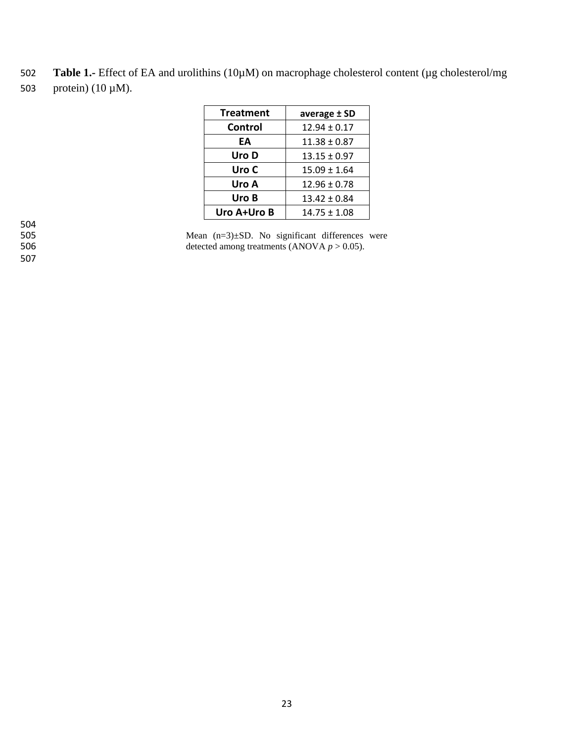502 **Table 1.-** Effect of EA and urolithins (10µM) on macrophage cholesterol content (µg cholesterol/mg 503 protein) (10 µM).

| <b>Treatment</b> | average ± SD     |
|------------------|------------------|
| Control          | $12.94 \pm 0.17$ |
| EА               | $11.38 \pm 0.87$ |
| Uro D            | $13.15 \pm 0.97$ |
| Uro C            | $15.09 \pm 1.64$ |
| Uro A            | $12.96 \pm 0.78$ |
| Uro B            | $13.42 \pm 0.84$ |
| Uro A+Uro B      | $14.75 \pm 1.08$ |

504<br>505 507

505 Mean  $(n=3) \pm SD$ . No significant differences were<br>506 detected among treatments (ANOVA  $p > 0.05$ ). detected among treatments (ANOVA  $p > 0.05$ ).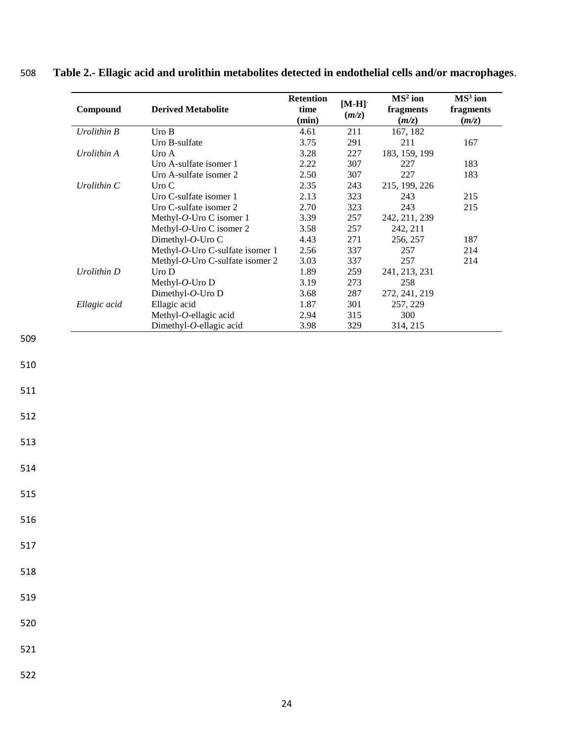| (m/z)<br>(m/z)<br>(min)<br>(m/z)<br>Urolithin B<br>Uro $\, {\bf B}$<br>4.61<br>211<br>167, 182<br>Uro B-sulfate<br>3.75<br>291<br>211<br>167<br>3.28<br>227<br>183, 159, 199<br>Urolithin A<br>Uro A<br>2.22<br>307<br>Uro A-sulfate isomer 1<br>227<br>183<br>307<br>227<br>Uro A-sulfate isomer 2<br>2.50<br>183<br>Urolithin C<br>2.35<br>243<br>215, 199, 226<br>Uro C<br>Uro C-sulfate isomer 1<br>2.13<br>323<br>215<br>243<br>Uro C-sulfate isomer 2<br>2.70<br>323<br>243<br>215<br>3.39<br>257<br>Methyl-O-Uro C isomer 1<br>242, 211, 239<br>Methyl-O-Uro C isomer 2<br>3.58<br>257<br>242, 211<br>Dimethyl-O-Uro C<br>4.43<br>271<br>256, 257<br>187<br>Methyl-O-Uro C-sulfate isomer 1<br>2.56<br>337<br>257<br>214<br>257<br>3.03<br>337<br>Methyl-O-Uro C-sulfate isomer 2<br>214<br>Urolithin D<br>Uro D<br>1.89<br>259<br>241, 213, 231<br>Methyl-O-Uro D<br>3.19<br>273<br>258<br>287<br>Dimethyl-O-Uro D<br>3.68<br>272, 241, 219<br>Ellagic acid<br>1.87<br>301<br>Ellagic acid<br>257, 229<br>Methyl-O-ellagic acid<br>2.94<br>315<br>300<br>Dimethyl-O-ellagic acid<br>329<br>314, 215<br>3.98<br>509<br>510<br>511<br>512<br>513<br>514<br>515<br>516<br>517<br>518<br>519<br>520<br>521<br>522 | Compound | <b>Derived Metabolite</b> | Retention<br>time | $[M-H]$ | $MS2$ ion<br>fragments | $MS3$ ion<br>fragments |
|-----------------------------------------------------------------------------------------------------------------------------------------------------------------------------------------------------------------------------------------------------------------------------------------------------------------------------------------------------------------------------------------------------------------------------------------------------------------------------------------------------------------------------------------------------------------------------------------------------------------------------------------------------------------------------------------------------------------------------------------------------------------------------------------------------------------------------------------------------------------------------------------------------------------------------------------------------------------------------------------------------------------------------------------------------------------------------------------------------------------------------------------------------------------------------------------------------------------------|----------|---------------------------|-------------------|---------|------------------------|------------------------|
|                                                                                                                                                                                                                                                                                                                                                                                                                                                                                                                                                                                                                                                                                                                                                                                                                                                                                                                                                                                                                                                                                                                                                                                                                       |          |                           |                   |         |                        |                        |
|                                                                                                                                                                                                                                                                                                                                                                                                                                                                                                                                                                                                                                                                                                                                                                                                                                                                                                                                                                                                                                                                                                                                                                                                                       |          |                           |                   |         |                        |                        |
|                                                                                                                                                                                                                                                                                                                                                                                                                                                                                                                                                                                                                                                                                                                                                                                                                                                                                                                                                                                                                                                                                                                                                                                                                       |          |                           |                   |         |                        |                        |
|                                                                                                                                                                                                                                                                                                                                                                                                                                                                                                                                                                                                                                                                                                                                                                                                                                                                                                                                                                                                                                                                                                                                                                                                                       |          |                           |                   |         |                        |                        |
|                                                                                                                                                                                                                                                                                                                                                                                                                                                                                                                                                                                                                                                                                                                                                                                                                                                                                                                                                                                                                                                                                                                                                                                                                       |          |                           |                   |         |                        |                        |
|                                                                                                                                                                                                                                                                                                                                                                                                                                                                                                                                                                                                                                                                                                                                                                                                                                                                                                                                                                                                                                                                                                                                                                                                                       |          |                           |                   |         |                        |                        |
|                                                                                                                                                                                                                                                                                                                                                                                                                                                                                                                                                                                                                                                                                                                                                                                                                                                                                                                                                                                                                                                                                                                                                                                                                       |          |                           |                   |         |                        |                        |
|                                                                                                                                                                                                                                                                                                                                                                                                                                                                                                                                                                                                                                                                                                                                                                                                                                                                                                                                                                                                                                                                                                                                                                                                                       |          |                           |                   |         |                        |                        |
|                                                                                                                                                                                                                                                                                                                                                                                                                                                                                                                                                                                                                                                                                                                                                                                                                                                                                                                                                                                                                                                                                                                                                                                                                       |          |                           |                   |         |                        |                        |
|                                                                                                                                                                                                                                                                                                                                                                                                                                                                                                                                                                                                                                                                                                                                                                                                                                                                                                                                                                                                                                                                                                                                                                                                                       |          |                           |                   |         |                        |                        |
|                                                                                                                                                                                                                                                                                                                                                                                                                                                                                                                                                                                                                                                                                                                                                                                                                                                                                                                                                                                                                                                                                                                                                                                                                       |          |                           |                   |         |                        |                        |
|                                                                                                                                                                                                                                                                                                                                                                                                                                                                                                                                                                                                                                                                                                                                                                                                                                                                                                                                                                                                                                                                                                                                                                                                                       |          |                           |                   |         |                        |                        |
|                                                                                                                                                                                                                                                                                                                                                                                                                                                                                                                                                                                                                                                                                                                                                                                                                                                                                                                                                                                                                                                                                                                                                                                                                       |          |                           |                   |         |                        |                        |
|                                                                                                                                                                                                                                                                                                                                                                                                                                                                                                                                                                                                                                                                                                                                                                                                                                                                                                                                                                                                                                                                                                                                                                                                                       |          |                           |                   |         |                        |                        |
|                                                                                                                                                                                                                                                                                                                                                                                                                                                                                                                                                                                                                                                                                                                                                                                                                                                                                                                                                                                                                                                                                                                                                                                                                       |          |                           |                   |         |                        |                        |
|                                                                                                                                                                                                                                                                                                                                                                                                                                                                                                                                                                                                                                                                                                                                                                                                                                                                                                                                                                                                                                                                                                                                                                                                                       |          |                           |                   |         |                        |                        |
|                                                                                                                                                                                                                                                                                                                                                                                                                                                                                                                                                                                                                                                                                                                                                                                                                                                                                                                                                                                                                                                                                                                                                                                                                       |          |                           |                   |         |                        |                        |
|                                                                                                                                                                                                                                                                                                                                                                                                                                                                                                                                                                                                                                                                                                                                                                                                                                                                                                                                                                                                                                                                                                                                                                                                                       |          |                           |                   |         |                        |                        |
|                                                                                                                                                                                                                                                                                                                                                                                                                                                                                                                                                                                                                                                                                                                                                                                                                                                                                                                                                                                                                                                                                                                                                                                                                       |          |                           |                   |         |                        |                        |
|                                                                                                                                                                                                                                                                                                                                                                                                                                                                                                                                                                                                                                                                                                                                                                                                                                                                                                                                                                                                                                                                                                                                                                                                                       |          |                           |                   |         |                        |                        |
|                                                                                                                                                                                                                                                                                                                                                                                                                                                                                                                                                                                                                                                                                                                                                                                                                                                                                                                                                                                                                                                                                                                                                                                                                       |          |                           |                   |         |                        |                        |
|                                                                                                                                                                                                                                                                                                                                                                                                                                                                                                                                                                                                                                                                                                                                                                                                                                                                                                                                                                                                                                                                                                                                                                                                                       |          |                           |                   |         |                        |                        |
|                                                                                                                                                                                                                                                                                                                                                                                                                                                                                                                                                                                                                                                                                                                                                                                                                                                                                                                                                                                                                                                                                                                                                                                                                       |          |                           |                   |         |                        |                        |
|                                                                                                                                                                                                                                                                                                                                                                                                                                                                                                                                                                                                                                                                                                                                                                                                                                                                                                                                                                                                                                                                                                                                                                                                                       |          |                           |                   |         |                        |                        |
|                                                                                                                                                                                                                                                                                                                                                                                                                                                                                                                                                                                                                                                                                                                                                                                                                                                                                                                                                                                                                                                                                                                                                                                                                       |          |                           |                   |         |                        |                        |
|                                                                                                                                                                                                                                                                                                                                                                                                                                                                                                                                                                                                                                                                                                                                                                                                                                                                                                                                                                                                                                                                                                                                                                                                                       |          |                           |                   |         |                        |                        |
|                                                                                                                                                                                                                                                                                                                                                                                                                                                                                                                                                                                                                                                                                                                                                                                                                                                                                                                                                                                                                                                                                                                                                                                                                       |          |                           |                   |         |                        |                        |
|                                                                                                                                                                                                                                                                                                                                                                                                                                                                                                                                                                                                                                                                                                                                                                                                                                                                                                                                                                                                                                                                                                                                                                                                                       |          |                           |                   |         |                        |                        |
|                                                                                                                                                                                                                                                                                                                                                                                                                                                                                                                                                                                                                                                                                                                                                                                                                                                                                                                                                                                                                                                                                                                                                                                                                       |          |                           |                   |         |                        |                        |
|                                                                                                                                                                                                                                                                                                                                                                                                                                                                                                                                                                                                                                                                                                                                                                                                                                                                                                                                                                                                                                                                                                                                                                                                                       |          |                           |                   |         |                        |                        |
|                                                                                                                                                                                                                                                                                                                                                                                                                                                                                                                                                                                                                                                                                                                                                                                                                                                                                                                                                                                                                                                                                                                                                                                                                       |          |                           |                   |         |                        |                        |
|                                                                                                                                                                                                                                                                                                                                                                                                                                                                                                                                                                                                                                                                                                                                                                                                                                                                                                                                                                                                                                                                                                                                                                                                                       |          |                           |                   |         |                        |                        |
|                                                                                                                                                                                                                                                                                                                                                                                                                                                                                                                                                                                                                                                                                                                                                                                                                                                                                                                                                                                                                                                                                                                                                                                                                       |          |                           |                   |         |                        |                        |
|                                                                                                                                                                                                                                                                                                                                                                                                                                                                                                                                                                                                                                                                                                                                                                                                                                                                                                                                                                                                                                                                                                                                                                                                                       |          |                           |                   |         |                        |                        |
|                                                                                                                                                                                                                                                                                                                                                                                                                                                                                                                                                                                                                                                                                                                                                                                                                                                                                                                                                                                                                                                                                                                                                                                                                       |          |                           |                   |         |                        |                        |
|                                                                                                                                                                                                                                                                                                                                                                                                                                                                                                                                                                                                                                                                                                                                                                                                                                                                                                                                                                                                                                                                                                                                                                                                                       |          |                           |                   |         |                        |                        |
|                                                                                                                                                                                                                                                                                                                                                                                                                                                                                                                                                                                                                                                                                                                                                                                                                                                                                                                                                                                                                                                                                                                                                                                                                       |          |                           |                   |         |                        |                        |
|                                                                                                                                                                                                                                                                                                                                                                                                                                                                                                                                                                                                                                                                                                                                                                                                                                                                                                                                                                                                                                                                                                                                                                                                                       |          |                           |                   |         |                        |                        |
|                                                                                                                                                                                                                                                                                                                                                                                                                                                                                                                                                                                                                                                                                                                                                                                                                                                                                                                                                                                                                                                                                                                                                                                                                       |          |                           |                   |         |                        |                        |
|                                                                                                                                                                                                                                                                                                                                                                                                                                                                                                                                                                                                                                                                                                                                                                                                                                                                                                                                                                                                                                                                                                                                                                                                                       |          |                           |                   |         |                        |                        |
|                                                                                                                                                                                                                                                                                                                                                                                                                                                                                                                                                                                                                                                                                                                                                                                                                                                                                                                                                                                                                                                                                                                                                                                                                       |          |                           |                   |         |                        |                        |
|                                                                                                                                                                                                                                                                                                                                                                                                                                                                                                                                                                                                                                                                                                                                                                                                                                                                                                                                                                                                                                                                                                                                                                                                                       |          |                           |                   |         |                        |                        |
|                                                                                                                                                                                                                                                                                                                                                                                                                                                                                                                                                                                                                                                                                                                                                                                                                                                                                                                                                                                                                                                                                                                                                                                                                       |          |                           |                   |         |                        |                        |
|                                                                                                                                                                                                                                                                                                                                                                                                                                                                                                                                                                                                                                                                                                                                                                                                                                                                                                                                                                                                                                                                                                                                                                                                                       |          |                           |                   |         |                        |                        |
|                                                                                                                                                                                                                                                                                                                                                                                                                                                                                                                                                                                                                                                                                                                                                                                                                                                                                                                                                                                                                                                                                                                                                                                                                       |          |                           |                   |         |                        |                        |

508 **Table 2.- Ellagic acid and urolithin metabolites detected in endothelial cells and/or macrophages**.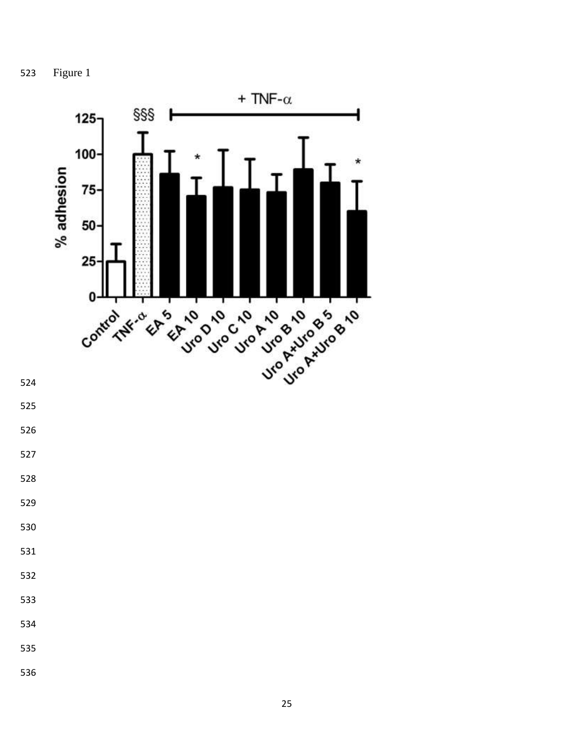Figure 1



- 
- 
- 
- 
- 
- 
- 
-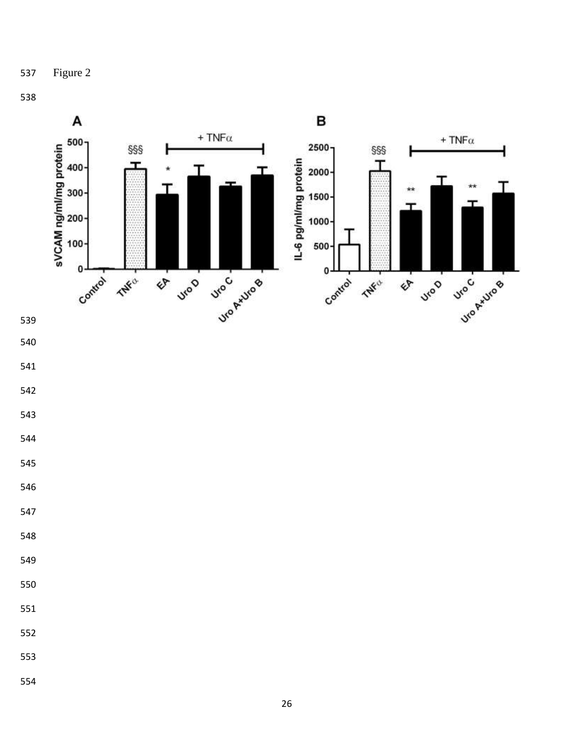

- 
- 
- 
- 
- 
- 
- 
- 
- 
- 
- 
- 
- 
- 
- 
- 
- 
-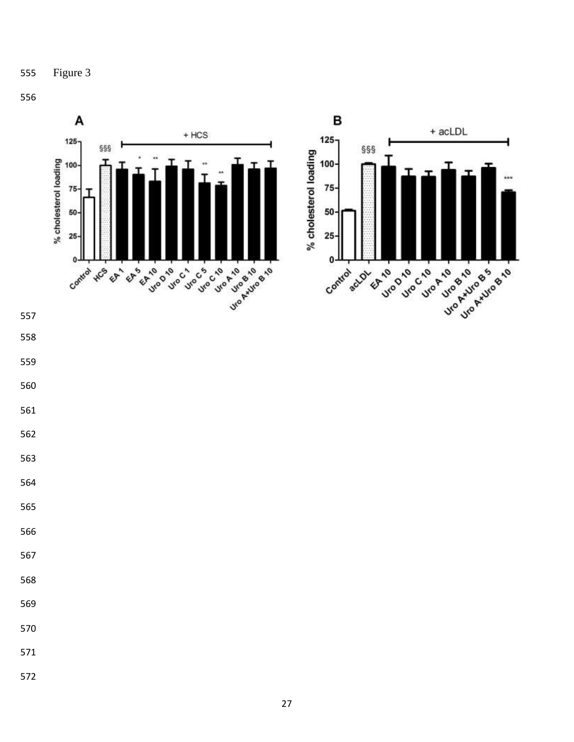

- 
- 
- 
- 
- 
- 
- 
- 
- 
- 
- 
- 
- 
- 
- 
- 
-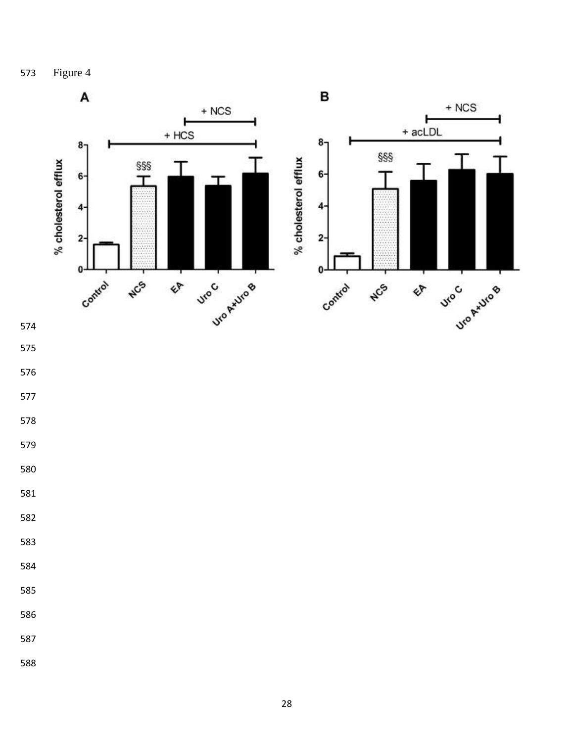

- 
- 
- 
- 
- 
- 
- 
- 
- 
- 
- 
- 
- 
- 
- 
- 
-